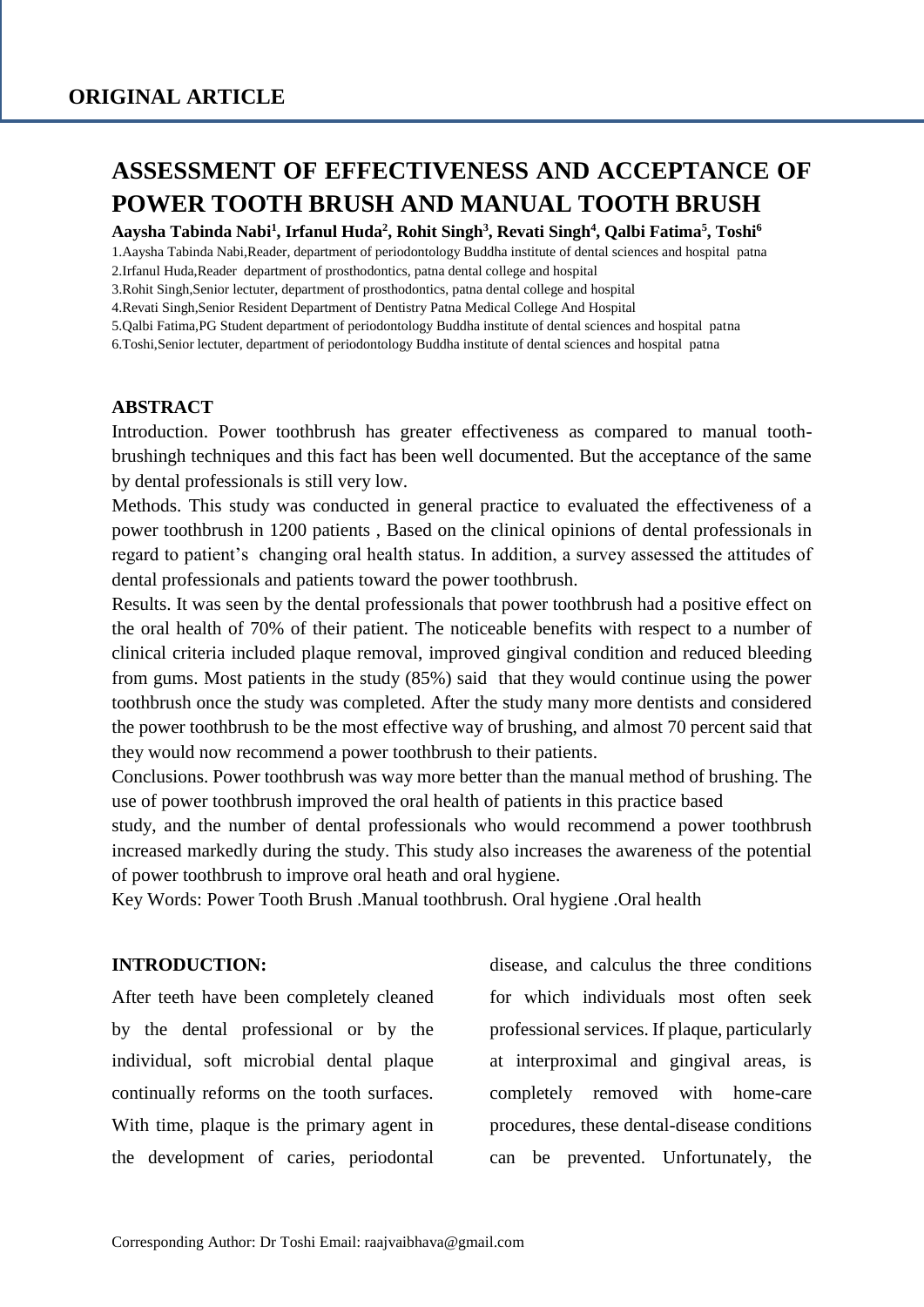# **ASSESSMENT OF EFFECTIVENESS AND ACCEPTANCE OF POWER TOOTH BRUSH AND MANUAL TOOTH BRUSH**

**Aaysha Tabinda Nabi<sup>1</sup> , Irfanul Huda<sup>2</sup> , Rohit Singh<sup>3</sup> , Revati Singh<sup>4</sup> , Qalbi Fatima<sup>5</sup> , Toshi<sup>6</sup>**

1.Aaysha Tabinda Nabi,Reader, department of periodontology Buddha institute of dental sciences and hospital patna

2.Irfanul Huda,Reader department of prosthodontics, patna dental college and hospital

3.Rohit Singh,Senior lectuter, department of prosthodontics, patna dental college and hospital

4.Revati Singh,Senior Resident Department of Dentistry Patna Medical College And Hospital

5.Qalbi Fatima,PG Student department of periodontology Buddha institute of dental sciences and hospital patna

6.Toshi,Senior lectuter, department of periodontology Buddha institute of dental sciences and hospital patna

## **ABSTRACT**

Introduction. Power toothbrush has greater effectiveness as compared to manual toothbrushingh techniques and this fact has been well documented. But the acceptance of the same by dental professionals is still very low.

Methods. This study was conducted in general practice to evaluated the effectiveness of a power toothbrush in 1200 patients , Based on the clinical opinions of dental professionals in regard to patient's changing oral health status. In addition, a survey assessed the attitudes of dental professionals and patients toward the power toothbrush.

Results. It was seen by the dental professionals that power toothbrush had a positive effect on the oral health of 70% of their patient. The noticeable benefits with respect to a number of clinical criteria included plaque removal, improved gingival condition and reduced bleeding from gums. Most patients in the study (85%) said that they would continue using the power toothbrush once the study was completed. After the study many more dentists and considered the power toothbrush to be the most effective way of brushing, and almost 70 percent said that they would now recommend a power toothbrush to their patients.

Conclusions. Power toothbrush was way more better than the manual method of brushing. The use of power toothbrush improved the oral health of patients in this practice based

study, and the number of dental professionals who would recommend a power toothbrush increased markedly during the study. This study also increases the awareness of the potential of power toothbrush to improve oral heath and oral hygiene.

Key Words: Power Tooth Brush .Manual toothbrush. Oral hygiene .Oral health

## **INTRODUCTION:**

After teeth have been completely cleaned by the dental professional or by the individual, soft microbial dental plaque continually reforms on the tooth surfaces. With time, plaque is the primary agent in the development of caries, periodontal disease, and calculus the three conditions for which individuals most often seek professional services. If plaque, particularly at interproximal and gingival areas, is completely removed with home-care procedures, these dental-disease conditions can be prevented. Unfortunately, the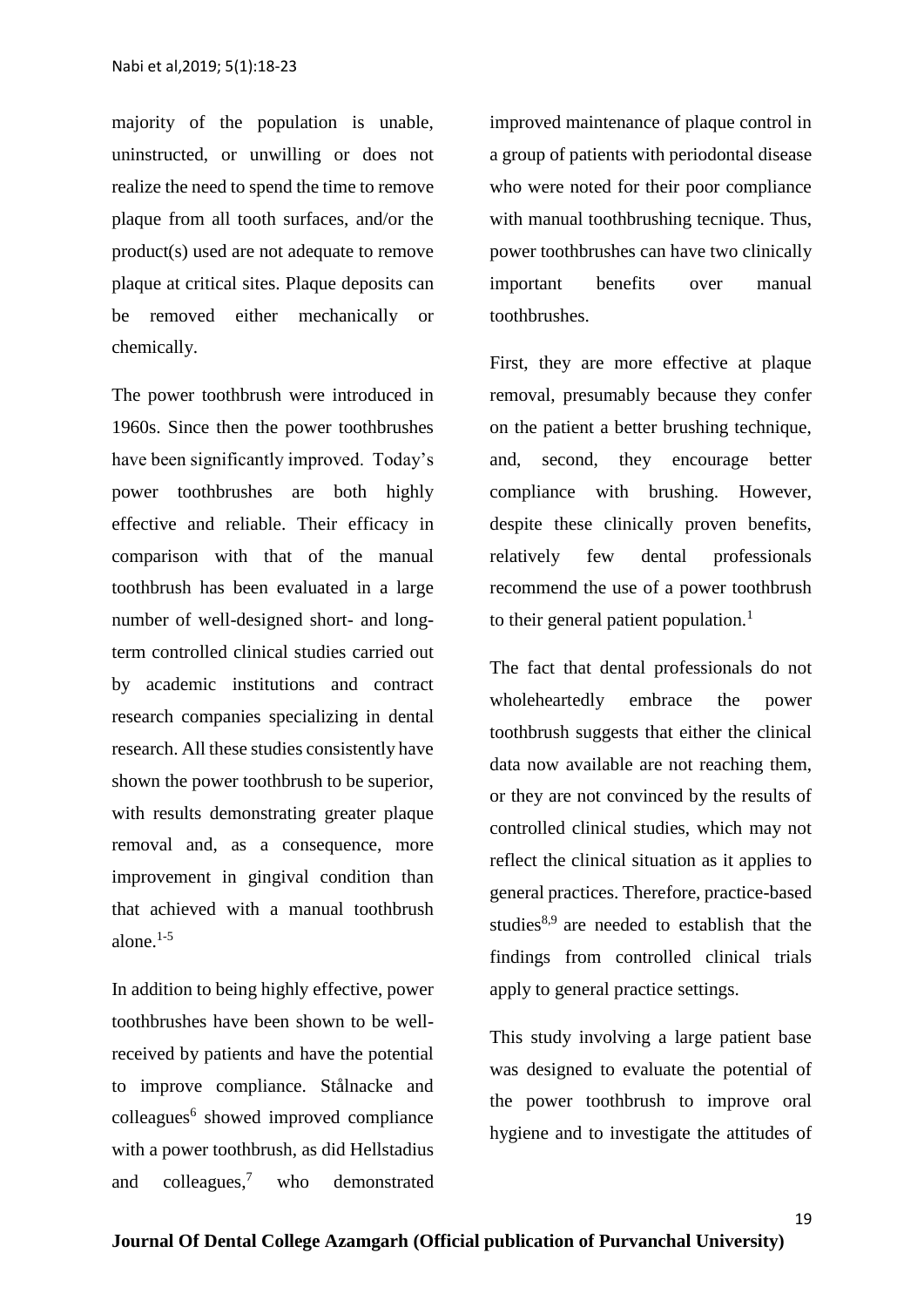majority of the population is unable, uninstructed, or unwilling or does not realize the need to spend the time to remove plaque from all tooth surfaces, and/or the product(s) used are not adequate to remove plaque at critical sites. Plaque deposits can be removed either mechanically or chemically.

The power toothbrush were introduced in 1960s. Since then the power toothbrushes have been significantly improved. Today's power toothbrushes are both highly effective and reliable. Their efficacy in comparison with that of the manual toothbrush has been evaluated in a large number of well-designed short- and longterm controlled clinical studies carried out by academic institutions and contract research companies specializing in dental research. All these studies consistently have shown the power toothbrush to be superior, with results demonstrating greater plaque removal and, as a consequence, more improvement in gingival condition than that achieved with a manual toothbrush alone. $1-5$ 

In addition to being highly effective, power toothbrushes have been shown to be wellreceived by patients and have the potential to improve compliance. Stålnacke and colleagues<sup>6</sup> showed improved compliance with a power toothbrush, as did Hellstadius and colleagues,<sup>7</sup> who demonstrated

improved maintenance of plaque control in a group of patients with periodontal disease who were noted for their poor compliance with manual toothbrushing tecnique. Thus, power toothbrushes can have two clinically important benefits over manual toothbrushes.

First, they are more effective at plaque removal, presumably because they confer on the patient a better brushing technique, and, second, they encourage better compliance with brushing. However, despite these clinically proven benefits, relatively few dental professionals recommend the use of a power toothbrush to their general patient population.<sup>1</sup>

The fact that dental professionals do not wholeheartedly embrace the power toothbrush suggests that either the clinical data now available are not reaching them, or they are not convinced by the results of controlled clinical studies, which may not reflect the clinical situation as it applies to general practices. Therefore, practice-based studies $8,9$  are needed to establish that the findings from controlled clinical trials apply to general practice settings.

This study involving a large patient base was designed to evaluate the potential of the power toothbrush to improve oral hygiene and to investigate the attitudes of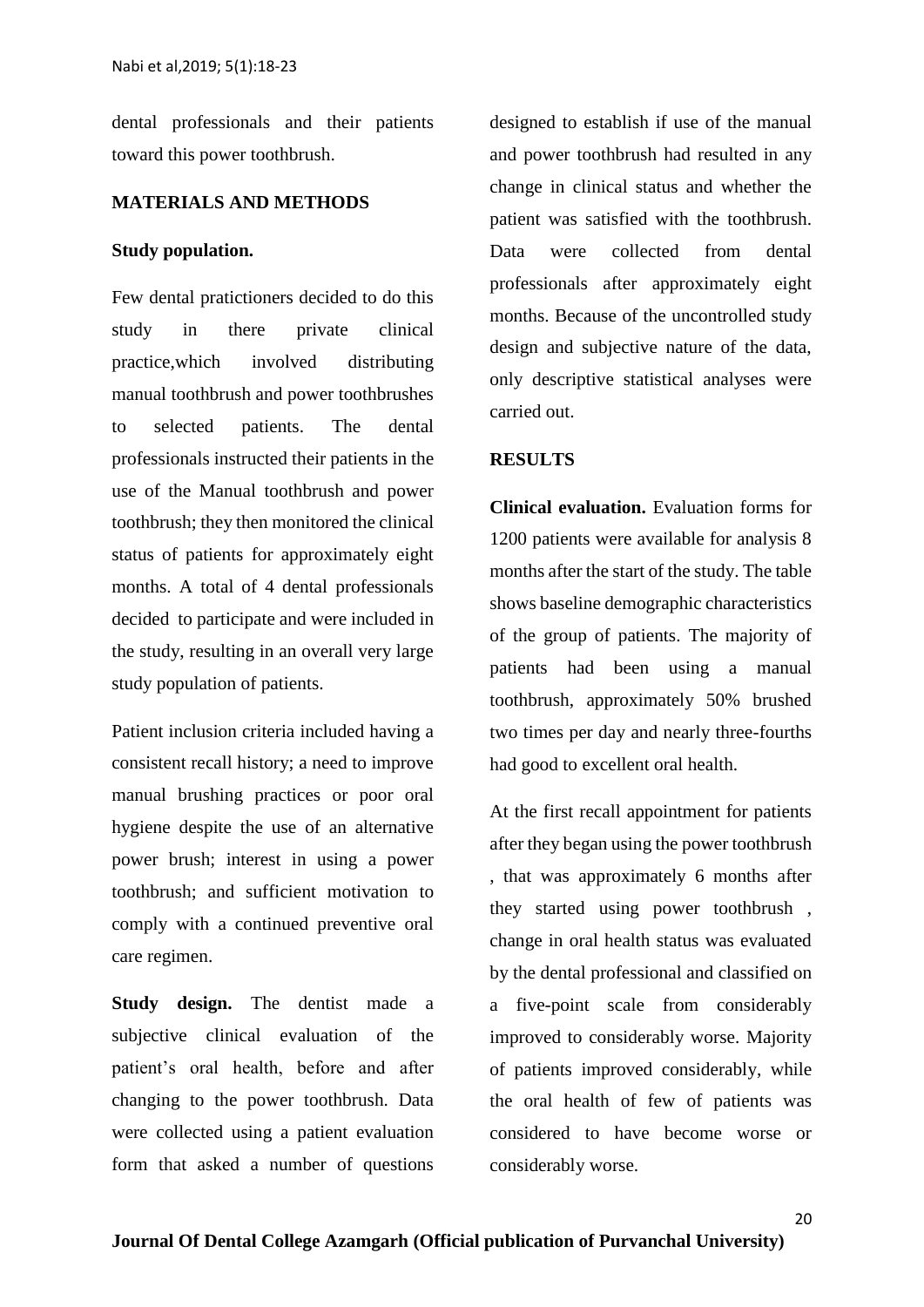dental professionals and their patients toward this power toothbrush.

## **MATERIALS AND METHODS**

#### **Study population.**

Few dental pratictioners decided to do this study in there private clinical practice,which involved distributing manual toothbrush and power toothbrushes to selected patients. The dental professionals instructed their patients in the use of the Manual toothbrush and power toothbrush; they then monitored the clinical status of patients for approximately eight months. A total of 4 dental professionals decided to participate and were included in the study, resulting in an overall very large study population of patients.

Patient inclusion criteria included having a consistent recall history; a need to improve manual brushing practices or poor oral hygiene despite the use of an alternative power brush; interest in using a power toothbrush; and sufficient motivation to comply with a continued preventive oral care regimen.

**Study design.** The dentist made a subjective clinical evaluation of the patient's oral health, before and after changing to the power toothbrush. Data were collected using a patient evaluation form that asked a number of questions

designed to establish if use of the manual and power toothbrush had resulted in any change in clinical status and whether the patient was satisfied with the toothbrush. Data were collected from dental professionals after approximately eight months. Because of the uncontrolled study design and subjective nature of the data, only descriptive statistical analyses were carried out.

## **RESULTS**

**Clinical evaluation.** Evaluation forms for 1200 patients were available for analysis 8 months after the start of the study. The table shows baseline demographic characteristics of the group of patients. The majority of patients had been using a manual toothbrush, approximately 50% brushed two times per day and nearly three-fourths had good to excellent oral health.

At the first recall appointment for patients after they began using the power toothbrush , that was approximately 6 months after they started using power toothbrush , change in oral health status was evaluated by the dental professional and classified on a five-point scale from considerably improved to considerably worse. Majority of patients improved considerably, while the oral health of few of patients was considered to have become worse or considerably worse.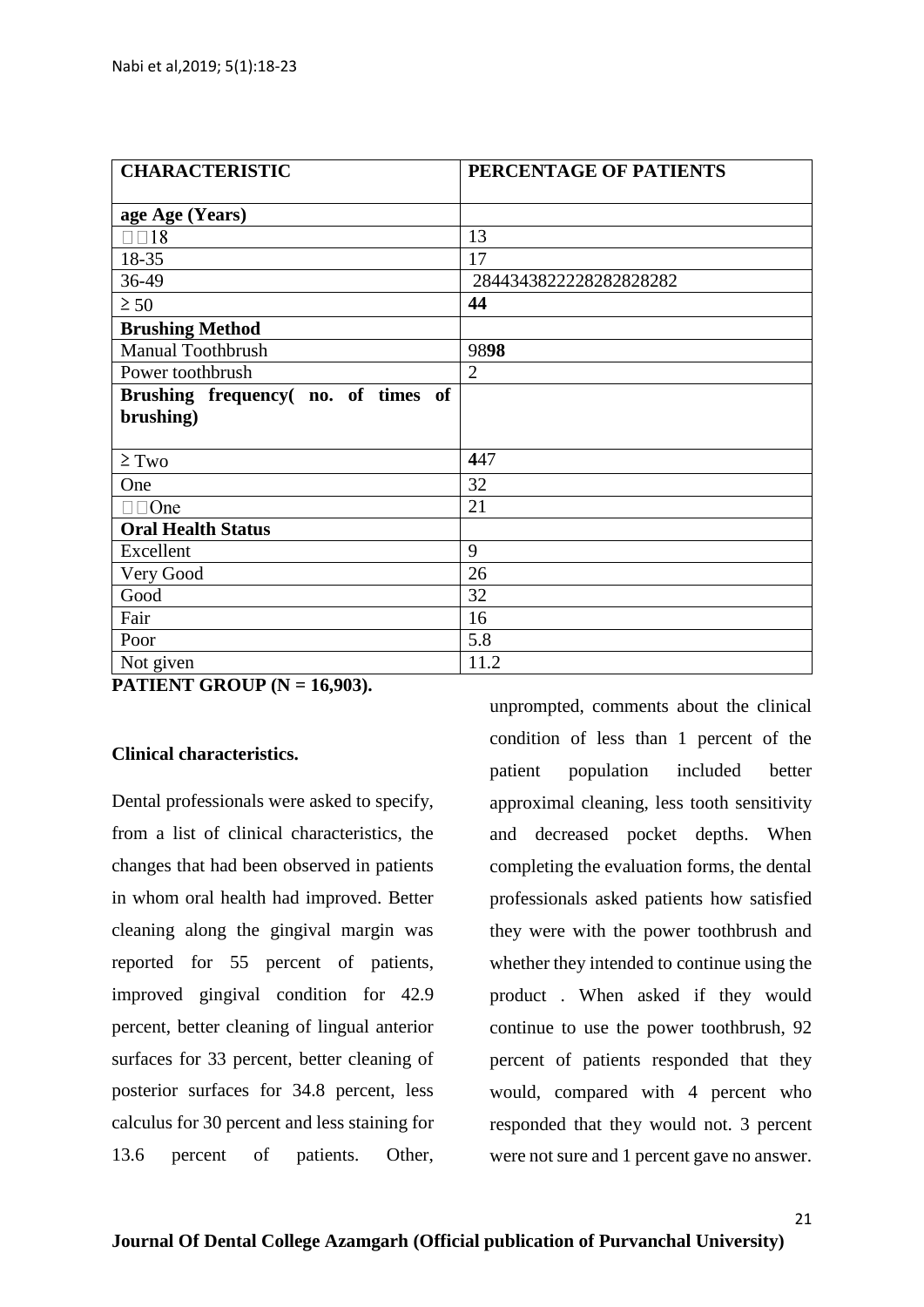| <b>CHARACTERISTIC</b>               | PERCENTAGE OF PATIENTS |
|-------------------------------------|------------------------|
|                                     |                        |
| age Age (Years)                     |                        |
| $\Box$ $\Box$ 18                    | 13                     |
| 18-35                               | 17                     |
| 36-49                               | 2844343822228282828282 |
| $\geq 50$                           | 44                     |
| <b>Brushing Method</b>              |                        |
| <b>Manual Toothbrush</b>            | 9898                   |
| Power toothbrush                    | $\overline{2}$         |
| Brushing frequency (no. of times of |                        |
| brushing)                           |                        |
|                                     |                        |
| $\geq$ Two                          | 447                    |
| One                                 | 32                     |
| $\square$ $\square$ One             | 21                     |
| <b>Oral Health Status</b>           |                        |
| Excellent                           | 9                      |
| Very Good                           | 26                     |
| Good                                | 32                     |
| Fair                                | 16                     |
| Poor                                | 5.8                    |
| Not given                           | 11.2                   |

**PATIENT GROUP (N = 16,903).**

# **Clinical characteristics.**

Dental professionals were asked to specify, from a list of clinical characteristics, the changes that had been observed in patients in whom oral health had improved. Better cleaning along the gingival margin was reported for 55 percent of patients, improved gingival condition for 42.9 percent, better cleaning of lingual anterior surfaces for 33 percent, better cleaning of posterior surfaces for 34.8 percent, less calculus for 30 percent and less staining for 13.6 percent of patients. Other,

unprompted, comments about the clinical condition of less than 1 percent of the patient population included better approximal cleaning, less tooth sensitivity and decreased pocket depths. When completing the evaluation forms, the dental professionals asked patients how satisfied they were with the power toothbrush and whether they intended to continue using the product . When asked if they would continue to use the power toothbrush, 92 percent of patients responded that they would, compared with 4 percent who responded that they would not. 3 percent were not sure and 1 percent gave no answer.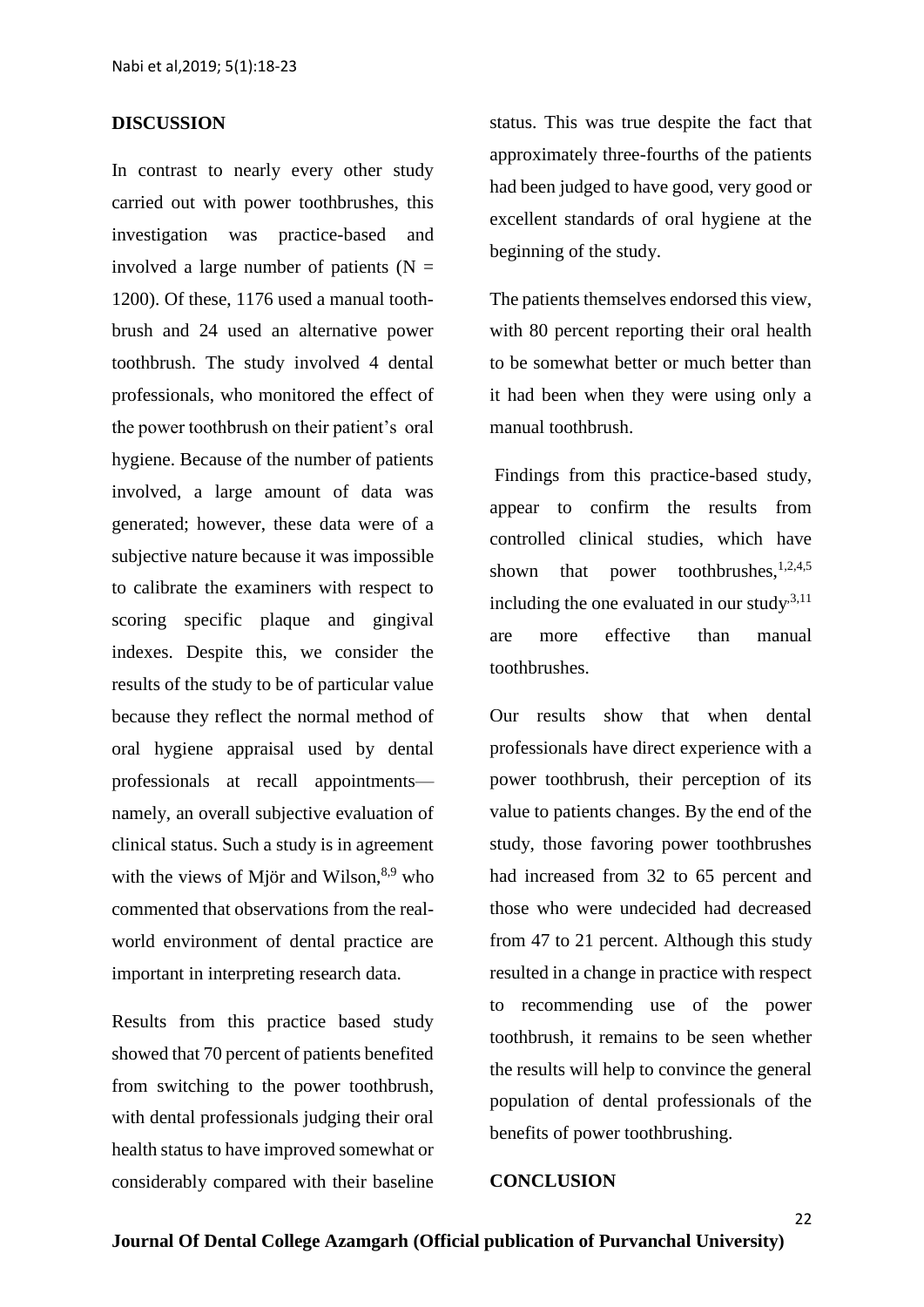#### **DISCUSSION**

In contrast to nearly every other study carried out with power toothbrushes, this investigation was practice-based and involved a large number of patients  $(N =$ 1200). Of these, 1176 used a manual toothbrush and 24 used an alternative power toothbrush. The study involved 4 dental professionals, who monitored the effect of the power toothbrush on their patient's oral hygiene. Because of the number of patients involved, a large amount of data was generated; however, these data were of a subjective nature because it was impossible to calibrate the examiners with respect to scoring specific plaque and gingival indexes. Despite this, we consider the results of the study to be of particular value because they reflect the normal method of oral hygiene appraisal used by dental professionals at recall appointments namely, an overall subjective evaluation of clinical status. Such a study is in agreement with the views of Mjör and Wilson, $8.9$  who commented that observations from the realworld environment of dental practice are important in interpreting research data.

Results from this practice based study showed that 70 percent of patients benefited from switching to the power toothbrush, with dental professionals judging their oral health status to have improved somewhat or considerably compared with their baseline status. This was true despite the fact that approximately three-fourths of the patients had been judged to have good, very good or excellent standards of oral hygiene at the beginning of the study.

The patients themselves endorsed this view, with 80 percent reporting their oral health to be somewhat better or much better than it had been when they were using only a manual toothbrush.

Findings from this practice-based study, appear to confirm the results from controlled clinical studies, which have shown that power toothbrushes,  $1,2,4,5$ including the one evaluated in our study<sup>3,11</sup> are more effective than manual toothbrushes.

Our results show that when dental professionals have direct experience with a power toothbrush, their perception of its value to patients changes. By the end of the study, those favoring power toothbrushes had increased from 32 to 65 percent and those who were undecided had decreased from 47 to 21 percent. Although this study resulted in a change in practice with respect to recommending use of the power toothbrush, it remains to be seen whether the results will help to convince the general population of dental professionals of the benefits of power toothbrushing.

#### **CONCLUSION**